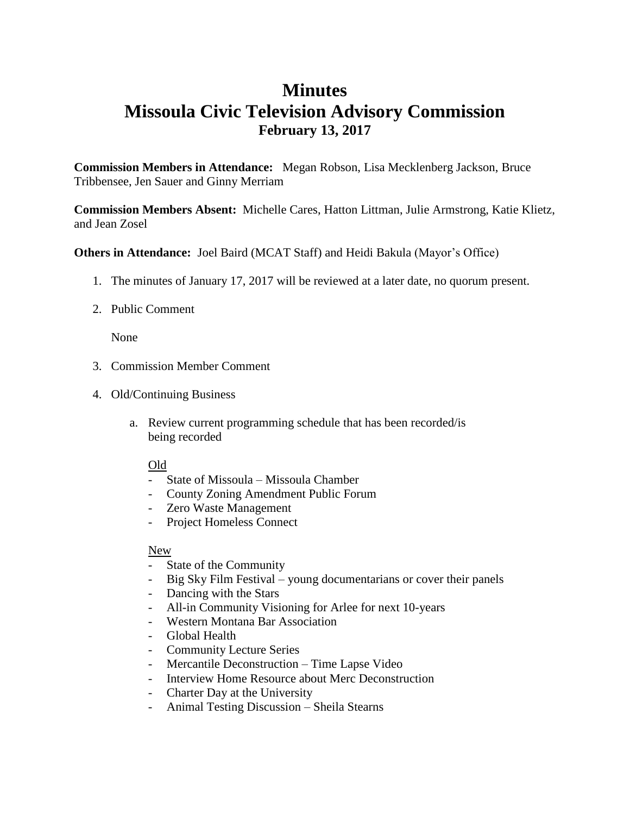## **Minutes Missoula Civic Television Advisory Commission February 13, 2017**

**Commission Members in Attendance:** Megan Robson, Lisa Mecklenberg Jackson, Bruce Tribbensee, Jen Sauer and Ginny Merriam

**Commission Members Absent:** Michelle Cares, Hatton Littman, Julie Armstrong, Katie Klietz, and Jean Zosel

**Others in Attendance:** Joel Baird (MCAT Staff) and Heidi Bakula (Mayor's Office)

- 1. The minutes of January 17, 2017 will be reviewed at a later date, no quorum present.
- 2. Public Comment

None

- 3. Commission Member Comment
- 4. Old/Continuing Business
	- a. Review current programming schedule that has been recorded/is being recorded

## Old

- State of Missoula Missoula Chamber
- County Zoning Amendment Public Forum
- Zero Waste Management
- Project Homeless Connect

## New

- State of the Community
- Big Sky Film Festival young documentarians or cover their panels
- Dancing with the Stars
- All-in Community Visioning for Arlee for next 10-years
- Western Montana Bar Association
- Global Health
- Community Lecture Series
- Mercantile Deconstruction Time Lapse Video
- Interview Home Resource about Merc Deconstruction
- Charter Day at the University
- Animal Testing Discussion Sheila Stearns